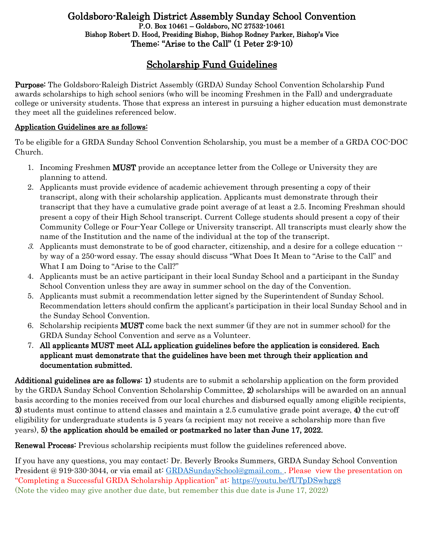# Goldsboro-Raleigh District Assembly Sunday School Convention P.O. Box 10461 – Goldsboro, NC 27532-10461 Bishop Robert D. Hood, Presiding Bishop, Bishop Rodney Parker, Bishop's Vice Theme: "Arise to the Call" (1 Peter 2:9-10)

## Scholarship Fund Guidelines

Purpose: The Goldsboro-Raleigh District Assembly (GRDA) Sunday School Convention Scholarship Fund awards scholarships to high school seniors (who will be incoming Freshmen in the Fall) and undergraduate college or university students. Those that express an interest in pursuing a higher education must demonstrate they meet all the guidelines referenced below.

#### Application Guidelines are as follows:

To be eligible for a GRDA Sunday School Convention Scholarship, you must be a member of a GRDA COC-DOC Church.

- 1. Incoming Freshmen MUST provide an acceptance letter from the College or University they are planning to attend.
- 2. Applicants must provide evidence of academic achievement through presenting a copy of their transcript, along with their scholarship application. Applicants must demonstrate through their transcript that they have a cumulative grade point average of at least a 2.5. Incoming Freshman should present a copy of their High School transcript. Current College students should present a copy of their Community College or Four-Year College or University transcript. All transcripts must clearly show the name of the Institution and the name of the individual at the top of the transcript.
- 3. Applicants must demonstrate to be of good character, citizenship, and a desire for a college education  $\cdot$ by way of a 250-word essay. The essay should discuss "What Does It Mean to "Arise to the Call" and What I am Doing to "Arise to the Call?"
- 4. Applicants must be an active participant in their local Sunday School and a participant in the Sunday School Convention unless they are away in summer school on the day of the Convention.
- 5. Applicants must submit a recommendation letter signed by the Superintendent of Sunday School. Recommendation letters should confirm the applicant's participation in their local Sunday School and in the Sunday School Convention.
- 6. Scholarship recipients MUST come back the next summer (if they are not in summer school) for the GRDA Sunday School Convention and serve as a Volunteer.
- 7. All applicants MUST meet ALL application guidelines before the application is considered. Each applicant must demonstrate that the guidelines have been met through their application and documentation submitted.

Additional guidelines are as follows: 1) students are to submit a scholarship application on the form provided by the GRDA Sunday School Convention Scholarship Committee, 2) scholarships will be awarded on an annual basis according to the monies received from our local churches and disbursed equally among eligible recipients, 3) students must continue to attend classes and maintain a 2.5 cumulative grade point average, 4) the cut-off eligibility for undergraduate students is 5 years (a recipient may not receive a scholarship more than five years), 5) the application should be emailed or postmarked no later than June 17, 2022.

Renewal Process: Previous scholarship recipients must follow the guidelines referenced above.

If you have any questions, you may contact: Dr. Beverly Brooks Summers, GRDA Sunday School Convention President @ 919-330-3044, or via email at: [GRDASundaySchool@gmail.com.](mailto:GRDASundaySchool@gmail.com) . Please view the presentation on "Completing a Successful GRDA Scholarship Application" at: <https://youtu.be/fUTpDSwhgg8> (Note the video may give another due date, but remember this due date is June 17, 2022)